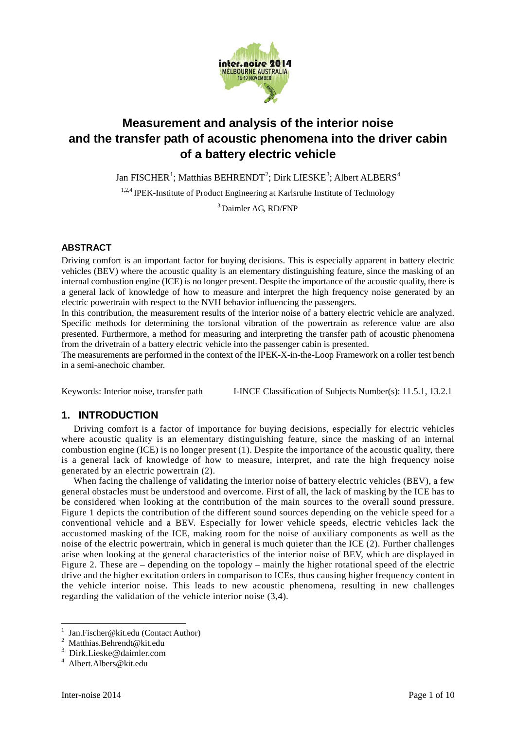

# **Measurement and analysis of the interior noise and the transfer path of acoustic phenomena into the driver cabin of a battery electric vehicle**

Jan FISCHER<sup>[1](#page-0-0)</sup>; Matthias BEHRENDT<sup>[2](#page-0-1)</sup>; Dirk LIESKE<sup>[3](#page-0-2)</sup>; Albert ALBERS<sup>[4](#page-0-3)</sup>

<sup>1,2,4</sup> IPEK-Institute of Product Engineering at Karlsruhe Institute of Technology

<sup>3</sup> Daimler AG, RD/FNP

## **ABSTRACT**

Driving comfort is an important factor for buying decisions. This is especially apparent in battery electric vehicles (BEV) where the acoustic quality is an elementary distinguishing feature, since the masking of an internal combustion engine (ICE) is no longer present. Despite the importance of the acoustic quality, there is a general lack of knowledge of how to measure and interpret the high frequency noise generated by an electric powertrain with respect to the NVH behavior influencing the passengers.

In this contribution, the measurement results of the interior noise of a battery electric vehicle are analyzed. Specific methods for determining the torsional vibration of the powertrain as reference value are also presented. Furthermore, a method for measuring and interpreting the transfer path of acoustic phenomena from the drivetrain of a battery electric vehicle into the passenger cabin is presented.

The measurements are performed in the context of the IPEK-X-in-the-Loop Framework on a roller test bench in a semi-anechoic chamber.

Keywords: Interior noise, transfer path I-INCE Classification of Subjects Number(s): 11.5.1, 13.2.1

# **1. INTRODUCTION**

Driving comfort is a factor of importance for buying decisions, especially for electric vehicles where acoustic quality is an elementary distinguishing feature, since the masking of an internal combustion engine (ICE) is no longer present (1). Despite the importance of the acoustic quality, there is a general lack of knowledge of how to measure, interpret, and rate the high frequency noise generated by an electric powertrain (2).

When facing the challenge of validating the interior noise of battery electric vehicles (BEV), a few general obstacles must be understood and overcome. First of all, the lack of masking by the ICE has to be considered when looking at the contribution of the main sources to the overall sound pressure. Figure 1 depicts the contribution of the different sound sources depending on the vehicle speed for a conventional vehicle and a BEV. Especially for lower vehicle speeds, electric vehicles lack the accustomed masking of the ICE, making room for the noise of auxiliary components as well as the noise of the electric powertrain, which in general is much quieter than the ICE (2). Further challenges arise when looking at the general characteristics of the interior noise of BEV, which are displayed in Figure 2. These are – depending on the topology – mainly the higher rotational speed of the electric drive and the higher excitation orders in comparison to ICEs, thus causing higher frequency content in the vehicle interior noise. This leads to new acoustic phenomena, resulting in new challenges regarding the validation of the vehicle interior noise (3,4).

**.** 

<span id="page-0-0"></span><sup>&</sup>lt;sup>1</sup> Jan.Fischer@kit.edu (Contact Author)<br><sup>2</sup> Matthias.Behrendt@kit.edu

<span id="page-0-1"></span>

<span id="page-0-2"></span>Dirk.Lieske@daimler.com<br>Albert.Albers@kit.edu

<span id="page-0-3"></span>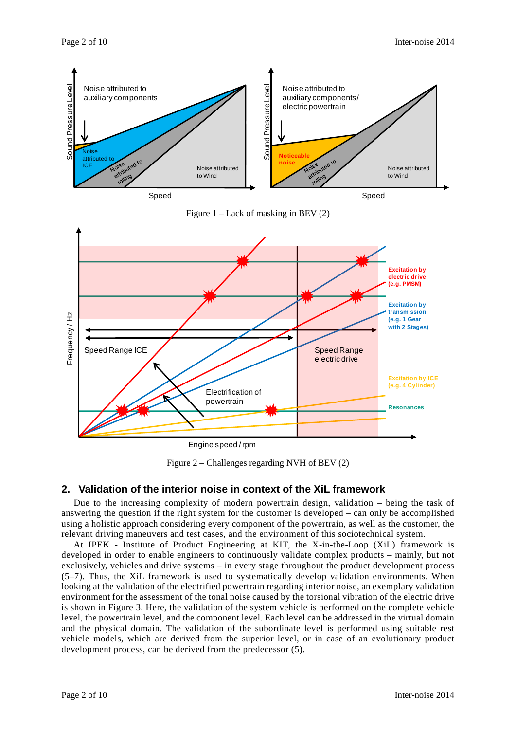

Figure 1 – Lack of masking in BEV (2)



Engine speed / rpm

Figure 2 – Challenges regarding NVH of BEV (2)

## **2. Validation of the interior noise in context of the XiL framework**

Due to the increasing complexity of modern powertrain design, validation – being the task of answering the question if the right system for the customer is developed – can only be accomplished using a holistic approach considering every component of the powertrain, as well as the customer, the relevant driving maneuvers and test cases, and the environment of this sociotechnical system.

At IPEK - Institute of Product Engineering at KIT, the X-in-the-Loop (XiL) framework is developed in order to enable engineers to continuously validate complex products – mainly, but not exclusively, vehicles and drive systems – in every stage throughout the product development process (5–7). Thus, the XiL framework is used to systematically develop validation environments. When looking at the validation of the electrified powertrain regarding interior noise, an exemplary validation environment for the assessment of the tonal noise caused by the torsional vibration of the electric drive is shown in Figure 3. Here, the validation of the system vehicle is performed on the complete vehicle level, the powertrain level, and the component level. Each level can be addressed in the virtual domain and the physical domain. The validation of the subordinate level is performed using suitable rest vehicle models, which are derived from the superior level, or in case of an evolutionary product development process, can be derived from the predecessor (5).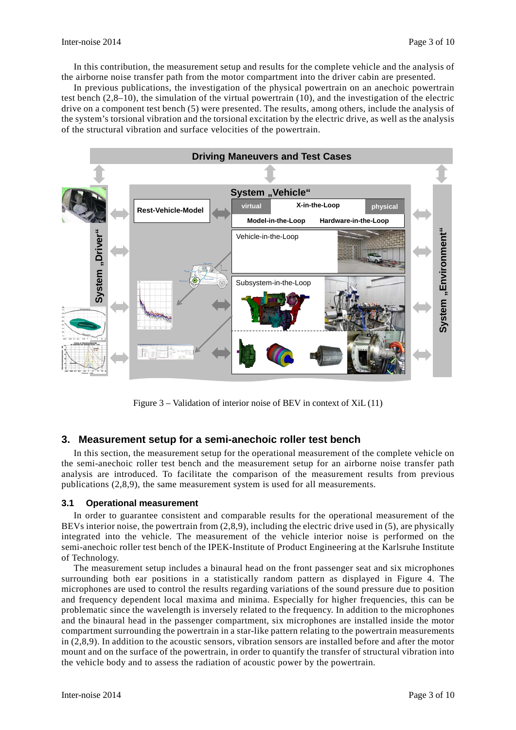In this contribution, the measurement setup and results for the complete vehicle and the analysis of the airborne noise transfer path from the motor compartment into the driver cabin are presented.

In previous publications, the investigation of the physical powertrain on an anechoic powertrain test bench (2,8–10), the simulation of the virtual powertrain (10), and the investigation of the electric drive on a component test bench (5) were presented. The results, among others, include the analysis of the system's torsional vibration and the torsional excitation by the electric drive, as well as the analysis of the structural vibration and surface velocities of the powertrain.



Figure 3 – Validation of interior noise of BEV in context of XiL (11)

## **3. Measurement setup for a semi-anechoic roller test bench**

In this section, the measurement setup for the operational measurement of the complete vehicle on the semi-anechoic roller test bench and the measurement setup for an airborne noise transfer path analysis are introduced. To facilitate the comparison of the measurement results from previous publications (2,8,9), the same measurement system is used for all measurements.

#### **3.1 Operational measurement**

In order to guarantee consistent and comparable results for the operational measurement of the BEVs interior noise, the powertrain from  $(2,8,9)$ , including the electric drive used in (5), are physically integrated into the vehicle. The measurement of the vehicle interior noise is performed on the semi-anechoic roller test bench of the IPEK-Institute of Product Engineering at the Karlsruhe Institute of Technology.

The measurement setup includes a binaural head on the front passenger seat and six microphones surrounding both ear positions in a statistically random pattern as displayed in Figure 4. The microphones are used to control the results regarding variations of the sound pressure due to position and frequency dependent local maxima and minima. Especially for higher frequencies, this can be problematic since the wavelength is inversely related to the frequency. In addition to the microphones and the binaural head in the passenger compartment, six microphones are installed inside the motor compartment surrounding the powertrain in a star-like pattern relating to the powertrain measurements in (2,8,9). In addition to the acoustic sensors, vibration sensors are installed before and after the motor mount and on the surface of the powertrain, in order to quantify the transfer of structural vibration into the vehicle body and to assess the radiation of acoustic power by the powertrain.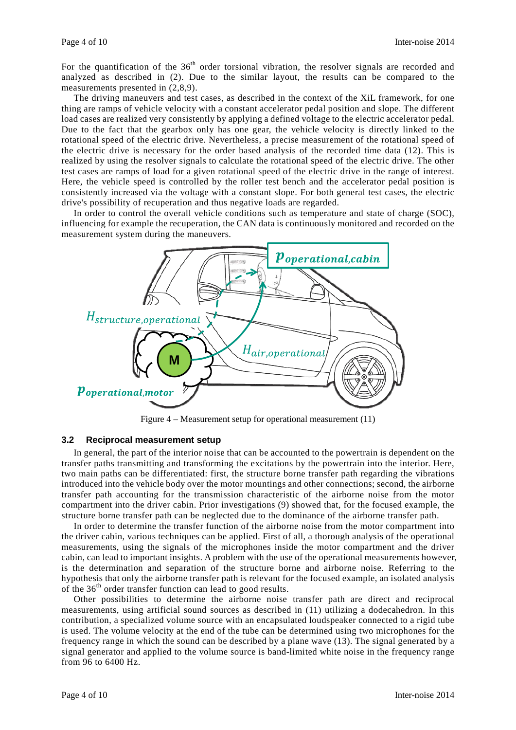For the quantification of the  $36<sup>th</sup>$  order torsional vibration, the resolver signals are recorded and analyzed as described in (2). Due to the similar layout, the results can be compared to the measurements presented in (2,8,9).

The driving maneuvers and test cases, as described in the context of the XiL framework, for one thing are ramps of vehicle velocity with a constant accelerator pedal position and slope. The different load cases are realized very consistently by applying a defined voltage to the electric accelerator pedal. Due to the fact that the gearbox only has one gear, the vehicle velocity is directly linked to the rotational speed of the electric drive. Nevertheless, a precise measurement of the rotational speed of the electric drive is necessary for the order based analysis of the recorded time data (12). This is realized by using the resolver signals to calculate the rotational speed of the electric drive. The other test cases are ramps of load for a given rotational speed of the electric drive in the range of interest. Here, the vehicle speed is controlled by the roller test bench and the accelerator pedal position is consistently increased via the voltage with a constant slope. For both general test cases, the electric drive's possibility of recuperation and thus negative loads are regarded.

In order to control the overall vehicle conditions such as temperature and state of charge (SOC), influencing for example the recuperation, the CAN data is continuously monitored and recorded on the measurement system during the maneuvers.



Figure 4 – Measurement setup for operational measurement (11)

## **3.2 Reciprocal measurement setup**

In general, the part of the interior noise that can be accounted to the powertrain is dependent on the transfer paths transmitting and transforming the excitations by the powertrain into the interior. Here, two main paths can be differentiated: first, the structure borne transfer path regarding the vibrations introduced into the vehicle body over the motor mountings and other connections; second, the airborne transfer path accounting for the transmission characteristic of the airborne noise from the motor compartment into the driver cabin. Prior investigations (9) showed that, for the focused example, the structure borne transfer path can be neglected due to the dominance of the airborne transfer path.

In order to determine the transfer function of the airborne noise from the motor compartment into the driver cabin, various techniques can be applied. First of all, a thorough analysis of the operational measurements, using the signals of the microphones inside the motor compartment and the driver cabin, can lead to important insights. A problem with the use of the operational measurements however, is the determination and separation of the structure borne and airborne noise. Referring to the hypothesis that only the airborne transfer path is relevant for the focused example, an isolated analysis of the 36<sup>th</sup> order transfer function can lead to good results.

Other possibilities to determine the airborne noise transfer path are direct and reciprocal measurements, using artificial sound sources as described in (11) utilizing a dodecahedron. In this contribution, a specialized volume source with an encapsulated loudspeaker connected to a rigid tube is used. The volume velocity at the end of the tube can be determined using two microphones for the frequency range in which the sound can be described by a plane wave (13). The signal generated by a signal generator and applied to the volume source is band-limited white noise in the frequency range from 96 to 6400 Hz.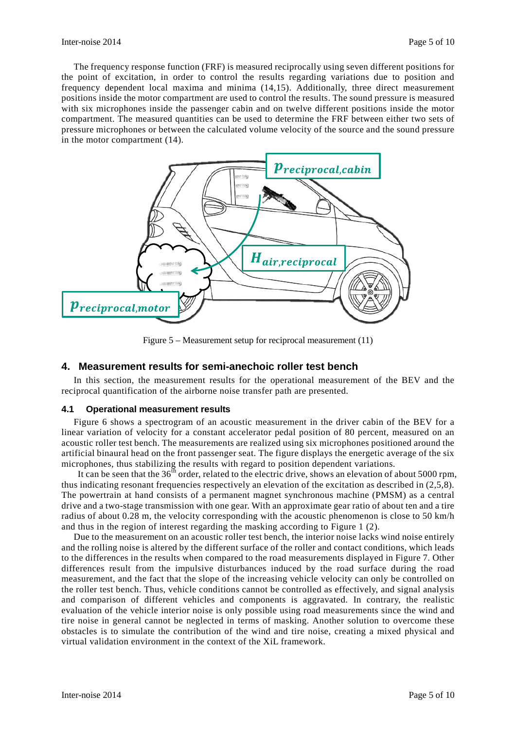The frequency response function (FRF) is measured reciprocally using seven different positions for the point of excitation, in order to control the results regarding variations due to position and frequency dependent local maxima and minima (14,15). Additionally, three direct measurement positions inside the motor compartment are used to control the results. The sound pressure is measured with six microphones inside the passenger cabin and on twelve different positions inside the motor compartment. The measured quantities can be used to determine the FRF between either two sets of pressure microphones or between the calculated volume velocity of the source and the sound pressure in the motor compartment (14).



Figure 5 – Measurement setup for reciprocal measurement (11)

## **4. Measurement results for semi-anechoic roller test bench**

In this section, the measurement results for the operational measurement of the BEV and the reciprocal quantification of the airborne noise transfer path are presented.

#### **4.1 Operational measurement results**

Figure 6 shows a spectrogram of an acoustic measurement in the driver cabin of the BEV for a linear variation of velocity for a constant accelerator pedal position of 80 percent, measured on an acoustic roller test bench. The measurements are realized using six microphones positioned around the artificial binaural head on the front passenger seat. The figure displays the energetic average of the six microphones, thus stabilizing the results with regard to position dependent variations.

It can be seen that the  $36<sup>th</sup>$  order, related to the electric drive, shows an elevation of about 5000 rpm, thus indicating resonant frequencies respectively an elevation of the excitation as described in (2,5,8). The powertrain at hand consists of a permanent magnet synchronous machine (PMSM) as a central drive and a two-stage transmission with one gear. With an approximate gear ratio of about ten and a tire radius of about 0.28 m, the velocity corresponding with the acoustic phenomenon is close to 50 km/h and thus in the region of interest regarding the masking according to Figure 1 (2).

Due to the measurement on an acoustic roller test bench, the interior noise lacks wind noise entirely and the rolling noise is altered by the different surface of the roller and contact conditions, which leads to the differences in the results when compared to the road measurements displayed in Figure 7. Other differences result from the impulsive disturbances induced by the road surface during the road measurement, and the fact that the slope of the increasing vehicle velocity can only be controlled on the roller test bench. Thus, vehicle conditions cannot be controlled as effectively, and signal analysis and comparison of different vehicles and components is aggravated. In contrary, the realistic evaluation of the vehicle interior noise is only possible using road measurements since the wind and tire noise in general cannot be neglected in terms of masking. Another solution to overcome these obstacles is to simulate the contribution of the wind and tire noise, creating a mixed physical and virtual validation environment in the context of the XiL framework.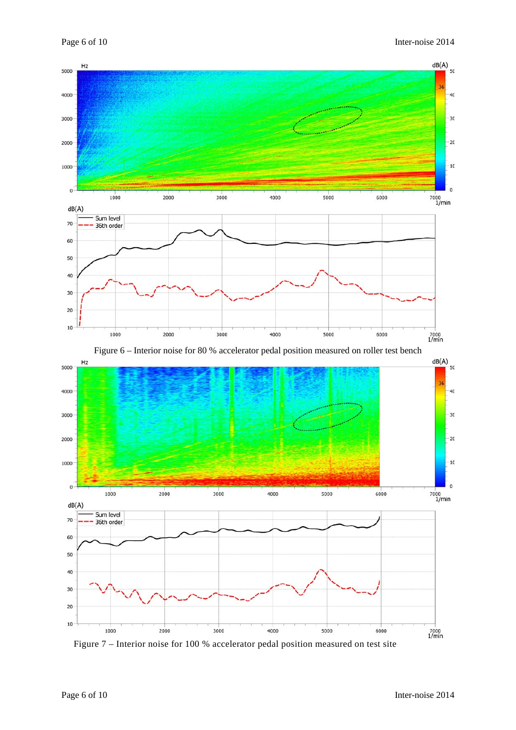

Figure 7 – Interior noise for 100 % accelerator pedal position measured on test site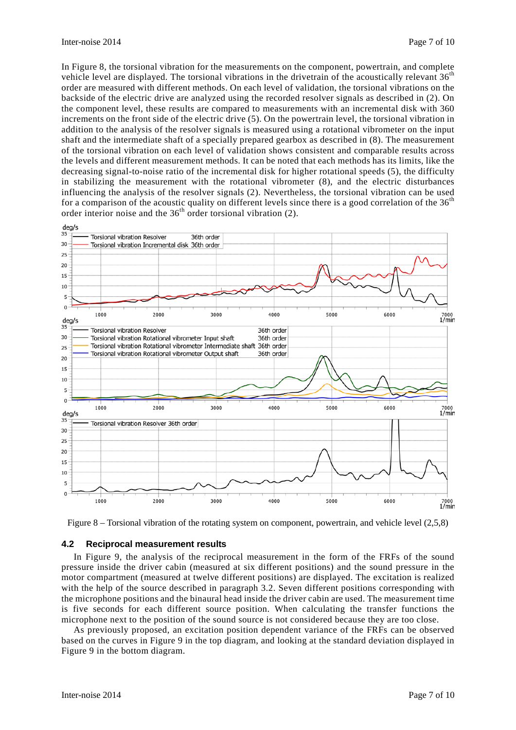In Figure 8, the torsional vibration for the measurements on the component, powertrain, and complete vehicle level are displayed. The torsional vibrations in the drivetrain of the acoustically relevant 36<sup>th</sup> order are measured with different methods. On each level of validation, the torsional vibrations on the backside of the electric drive are analyzed using the recorded resolver signals as described in (2). On the component level, these results are compared to measurements with an incremental disk with 360 increments on the front side of the electric drive (5). On the powertrain level, the torsional vibration in addition to the analysis of the resolver signals is measured using a rotational vibrometer on the input shaft and the intermediate shaft of a specially prepared gearbox as described in (8). The measurement of the torsional vibration on each level of validation shows consistent and comparable results across the levels and different measurement methods. It can be noted that each methods has its limits, like the decreasing signal-to-noise ratio of the incremental disk for higher rotational speeds (5), the difficulty in stabilizing the measurement with the rotational vibrometer (8), and the electric disturbances influencing the analysis of the resolver signals (2). Nevertheless, the torsional vibration can be used for a comparison of the acoustic quality on different levels since there is a good correlation of the  $36<sup>th</sup>$ order interior noise and the 36<sup>th</sup> order torsional vibration (2).



Figure 8 – Torsional vibration of the rotating system on component, powertrain, and vehicle level (2,5,8)

#### **4.2 Reciprocal measurement results**

In Figure 9, the analysis of the reciprocal measurement in the form of the FRFs of the sound pressure inside the driver cabin (measured at six different positions) and the sound pressure in the motor compartment (measured at twelve different positions) are displayed. The excitation is realized with the help of the source described in paragraph 3.2. Seven different positions corresponding with the microphone positions and the binaural head inside the driver cabin are used. The measurement time is five seconds for each different source position. When calculating the transfer functions the microphone next to the position of the sound source is not considered because they are too close.

As previously proposed, an excitation position dependent variance of the FRFs can be observed based on the curves in Figure 9 in the top diagram, and looking at the standard deviation displayed in Figure 9 in the bottom diagram.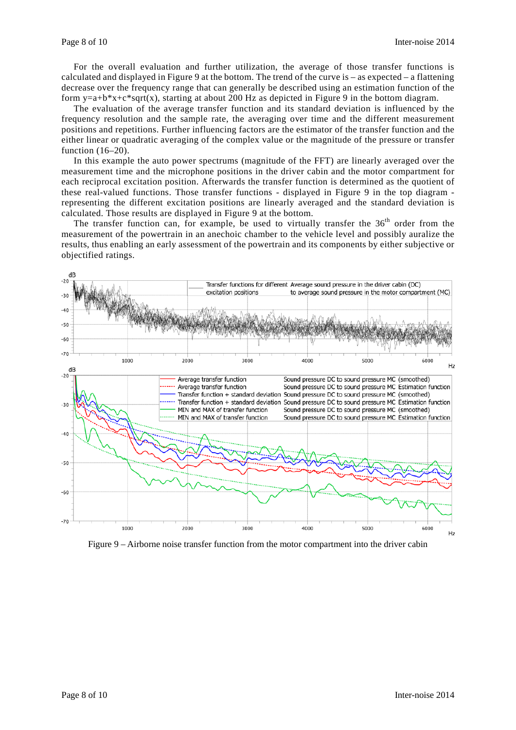For the overall evaluation and further utilization, the average of those transfer functions is calculated and displayed in Figure 9 at the bottom. The trend of the curve is – as expected – a flattening decrease over the frequency range that can generally be described using an estimation function of the form  $y=a+b*x+c*sqrt(x)$ , starting at about 200 Hz as depicted in Figure 9 in the bottom diagram.

The evaluation of the average transfer function and its standard deviation is influenced by the frequency resolution and the sample rate, the averaging over time and the different measurement positions and repetitions. Further influencing factors are the estimator of the transfer function and the either linear or quadratic averaging of the complex value or the magnitude of the pressure or transfer function (16–20).

In this example the auto power spectrums (magnitude of the FFT) are linearly averaged over the measurement time and the microphone positions in the driver cabin and the motor compartment for each reciprocal excitation position. Afterwards the transfer function is determined as the quotient of these real-valued functions. Those transfer functions - displayed in Figure 9 in the top diagram representing the different excitation positions are linearly averaged and the standard deviation is calculated. Those results are displayed in Figure 9 at the bottom.

The transfer function can, for example, be used to virtually transfer the  $36<sup>th</sup>$  order from the measurement of the powertrain in an anechoic chamber to the vehicle level and possibly auralize the results, thus enabling an early assessment of the powertrain and its components by either subjective or objectified ratings.



Figure 9 – Airborne noise transfer function from the motor compartment into the driver cabin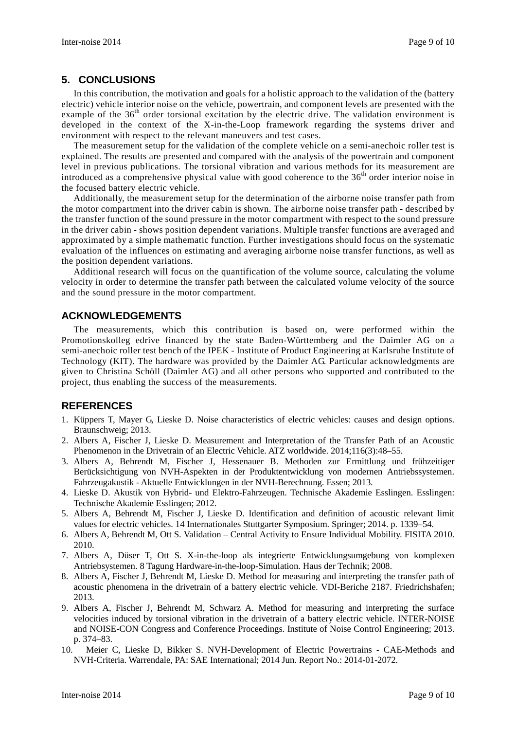## **5. CONCLUSIONS**

In this contribution, the motivation and goals for a holistic approach to the validation of the (battery electric) vehicle interior noise on the vehicle, powertrain, and component levels are presented with the example of the 36<sup>th</sup> order torsional excitation by the electric drive. The validation environment is developed in the context of the X-in-the-Loop framework regarding the systems driver and environment with respect to the relevant maneuvers and test cases.

The measurement setup for the validation of the complete vehicle on a semi-anechoic roller test is explained. The results are presented and compared with the analysis of the powertrain and component level in previous publications. The torsional vibration and various methods for its measurement are introduced as a comprehensive physical value with good coherence to the  $36<sup>th</sup>$  order interior noise in the focused battery electric vehicle.

Additionally, the measurement setup for the determination of the airborne noise transfer path from the motor compartment into the driver cabin is shown. The airborne noise transfer path - described by the transfer function of the sound pressure in the motor compartment with respect to the sound pressure in the driver cabin - shows position dependent variations. Multiple transfer functions are averaged and approximated by a simple mathematic function. Further investigations should focus on the systematic evaluation of the influences on estimating and averaging airborne noise transfer functions, as well as the position dependent variations.

Additional research will focus on the quantification of the volume source, calculating the volume velocity in order to determine the transfer path between the calculated volume velocity of the source and the sound pressure in the motor compartment.

## **ACKNOWLEDGEMENTS**

The measurements, which this contribution is based on, were performed within the Promotionskolleg edrive financed by the state Baden-Württemberg and the Daimler AG on a semi-anechoic roller test bench of the IPEK - Institute of Product Engineering at Karlsruhe Institute of Technology (KIT). The hardware was provided by the Daimler AG. Particular acknowledgments are given to Christina Schöll (Daimler AG) and all other persons who supported and contributed to the project, thus enabling the success of the measurements.

# **REFERENCES**

- 1. Küppers T, Mayer G, Lieske D. Noise characteristics of electric vehicles: causes and design options. Braunschweig; 2013.
- 2. Albers A, Fischer J, Lieske D. Measurement and Interpretation of the Transfer Path of an Acoustic Phenomenon in the Drivetrain of an Electric Vehicle. ATZ worldwide. 2014;116(3):48–55.
- 3. Albers A, Behrendt M, Fischer J, Hessenauer B. Methoden zur Ermittlung und frühzeitiger Berücksichtigung von NVH-Aspekten in der Produktentwicklung von modernen Antriebssystemen. Fahrzeugakustik - Aktuelle Entwicklungen in der NVH-Berechnung. Essen; 2013.
- 4. Lieske D. Akustik von Hybrid- und Elektro-Fahrzeugen. Technische Akademie Esslingen. Esslingen: Technische Akademie Esslingen; 2012.
- 5. Albers A, Behrendt M, Fischer J, Lieske D. Identification and definition of acoustic relevant limit values for electric vehicles. 14 Internationales Stuttgarter Symposium. Springer; 2014. p. 1339–54.
- 6. Albers A, Behrendt M, Ott S. Validation Central Activity to Ensure Individual Mobility. FISITA 2010. 2010.
- 7. Albers A, Düser T, Ott S. X-in-the-loop als integrierte Entwicklungsumgebung von komplexen Antriebsystemen. 8 Tagung Hardware-in-the-loop-Simulation. Haus der Technik; 2008.
- 8. Albers A, Fischer J, Behrendt M, Lieske D. Method for measuring and interpreting the transfer path of acoustic phenomena in the drivetrain of a battery electric vehicle. VDI-Beriche 2187. Friedrichshafen; 2013.
- 9. Albers A, Fischer J, Behrendt M, Schwarz A. Method for measuring and interpreting the surface velocities induced by torsional vibration in the drivetrain of a battery electric vehicle. INTER-NOISE and NOISE-CON Congress and Conference Proceedings. Institute of Noise Control Engineering; 2013. p. 374–83.
- 10. Meier C, Lieske D, Bikker S. NVH-Development of Electric Powertrains CAE-Methods and NVH-Criteria. Warrendale, PA: SAE International; 2014 Jun. Report No.: 2014-01-2072.